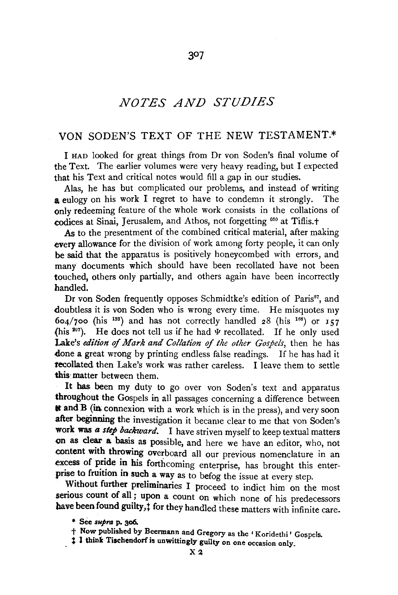# *NOTES AND STUDIES*

307

# VON SODEN'S TEXT OF THE NEW TESTAMENT.\*

I HAD looked for great things from Dr von Soden's final volume of the Text. The earlier volumes were very heavy reading, but I expected that his Text and critical notes would fill a gap in our studies.

Alas, he has but complicated our problems, and instead of writing a eulogy on his work I regret to have to condemn it strongly. The only redeeming feature of the whole work consists in the collations of codices at Sinai, Jerusalem, and Athos, not forgetting <sup>050</sup> at Tiflis.<sup>+</sup>

As to the presentment of the combined critical material, after making every allowance for the division of work among forty people, it can only be said that the apparatus is positively honeycombed with errors, and many documents which should have been recollated have not been touched, others only partially, and others again have been incorrectly handled.

Dr von Soden frequently opposes Schmidtke's edition of Paris<sup>97</sup>, and doubtless it is von Soden who is wrong every time. He misquotes my  $604/700$  (his <sup>133</sup>) and has not correctly handled 28 (his <sup>168</sup>) or 157 (his  $207$ ). He does not tell us if he had  $\Psi$  recollated. If he only used Lake's *edition of Mark and Collation of the other Gospels*, then he has done a great wrong by printing endless false readings. If he has had it tecollated then Lake's work was rather careless. I leave them to settle this matter between them.

It has been my duty to go over von Soden's text and apparatus throughout the Gospels in all passages concerning a difference between \* and B (in connexion with a work which is in the press), and very soon after beginning the investigation it became clear to me that von Soden's work was *a step backward.* I have striven myself to keep textual matters on as clear a basis as possible, and here we have an editor, who, not content with throwing overboard all our previous nomenclature in an excess of pride in his forthcoming enterprise, has brought this enterprise to fruition in such a way as to befog the issue at every step.

Without further preliminaries I proceed to indict him on the most serious count of all; upon a count on which none of his predecessors have been found guilty,  $\ddagger$  for they handled these matters with infinite care.

<sup>\*</sup> See *supra* p. 3o6.

t Now published by Beermann and Gregory as the 'Koridethi' Gospels.

<sup>&</sup>lt;sup>1</sup> I think Tischendorf is unwittingly guilty on one occasion only.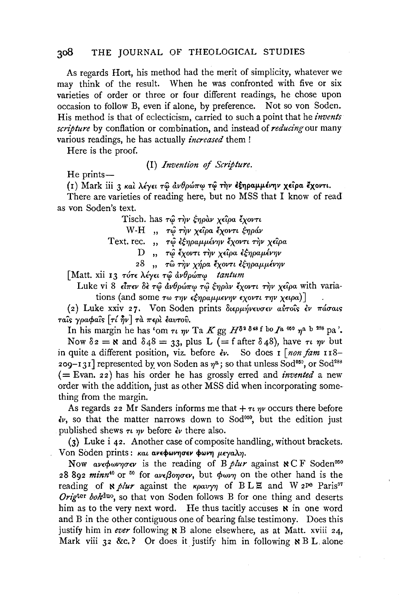As regards Hort, his method had the merit of simplicity, whatever we may think of the result. When he was confronted with five or six varieties of order or three or four different readings, he chose upon occasion to follow B, even if alone, by preference. Not so von Soden. His method is that of eclecticism, carried to such a point that he invents scripture by conflation or combination, and instead of reducing our many various readings, he has actually *increased* them!

Here is the proof.

(I) Invention of Scripture.

 $He$  prints —

(1) Mark iii 3 και λέγει τω ανθρώπω τω την εξηραμμένην χείρα έχοντι.

There are varieties of reading here, but no MSS that I know of read as von Soden's text.

Tisch. has τώ την έηραν χείρα έχοντι

W-H ,, τώ την χείρα έχοντι ξηράν

Text. rec. ,, τώ εξηραμμένην έχοντι την χείρα

D ,, τω έχοντι την χείρα εξηραμένην

28, τω την χήρα έχοντι εξηραμμένην

[Matt. xii 13 τότε λέγει τω ανθρώπω tantum

Luke vi 8  $\epsilon \hat{l} \pi \epsilon \hat{v}$   $\delta \hat{\epsilon} \tau \hat{\omega} \hat{\omega} \hat{v} \theta \hat{\rho} \hat{\omega} \pi \hat{\omega} \hat{\tau} \hat{\omega} \hat{\zeta} \eta \hat{\rho} \hat{\omega} \hat{v} \hat{\zeta} \gamma \hat{\rho} \nu \tau \hat{\tau} \eta \hat{\nu} \chi \epsilon \hat{\rho} \rho \hat{\omega}$  with variations (and some  $\tau \omega \tau \eta \nu \epsilon \xi \eta \rho \alpha \mu \mu \epsilon \nu \eta \nu \epsilon \chi \nu \nu \tau \eta \nu \chi \epsilon \nu \rho \alpha)$ 

(2) Luke xxiv 27. Von Soden prints διερμήνευσεν αύτοις έν πάσαις ταΐς γραφαΐς [τί ήν] τα περι έαυτου.

In his margin he has 'om  $\tau \iota \eta \nu$  Ta K gg  $H^{\delta^2 \delta^{48} f}$  bo  $I^{\alpha}$  <sup>060</sup>  $n^{\alpha}$  b <sup>288</sup> pa'.

Now  $\delta z = \mathbf{N}$  and  $\delta 48 = 33$ , plus L (= f after  $\delta 48$ ), have  $\tau_i$   $\eta_i$  but in quite a different position, viz. before  $\epsilon v$ . So does  $\mathbf{r}$  [non fam  $\mathbf{r}$ 18-209-131] represented by von Soden as  $\eta^a$ ; so that unless Sod<sup>050</sup>, or Sod<sup>288</sup>  $($  Evan. 22) has his order he has grossly erred and *invented* a new order with the addition, just as other MSS did when incorporating something from the margin.

As regards 22 Mr Sanders informs me that  $+ \tau u \eta v$  occurs there before  $\epsilon v$ , so that the matter narrows down to Sod<sup>050</sup>, but the edition just published shews  $\tau \nu$  *nv* before  $\dot{\epsilon} \nu$  there also.

(3) Luke i 42. Another case of composite handling, without brackets. Von Soden prints: και ανεφωνησεν φωνη μεγαλη.

Now aveotyprove is the reading of B plur against  $\aleph C F$  Soden<sup>050</sup> 28 892 minn<sup>40</sup> or <sup>50</sup> for ave Bongsev, but  $\phi_{\omega \nu \eta}$  on the other hand is the reading of N plur against the  $\kappa \rho a v \gamma \eta$  of BLE and W 2Pe Paris<sup>97</sup> Origier bohduo, so that von Soden follows B for one thing and deserts him as to the very next word. He thus tacitly accuses  $\aleph$  in one word and B in the other contiguous one of bearing false testimony. Does this justify him in ever following  $\aleph$  B alone elsewhere, as at Matt. xviii 24. Mark viii 32 &c.? Or does it justify him in following  $\aleph B$  L alone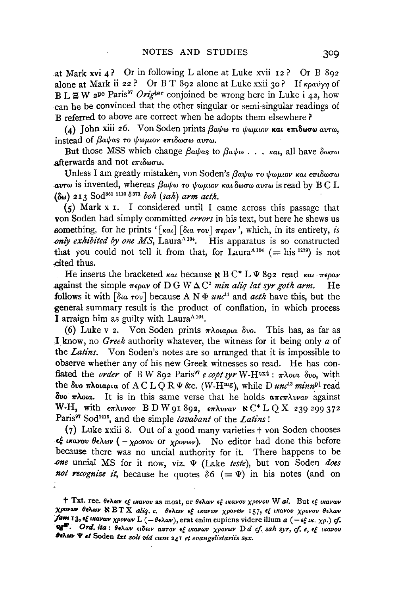at Mark xvi  $\Delta$ ? Or in following L alone at Luke xvii  $\mathbf{12}$ ? Or B 892 alone at Mark ii 22? Or B T 892 alone at Luke xxii 30? If  $\kappa \rho a v \gamma \eta$  of B L  $\Xi$  W 2<sup>pe</sup> Paris<sup>97</sup> Orig<sup>ter</sup> conjoined be wrong here in Luke i 42, how can he be convinced that the other singular or semi-singular readings of B referred to above are correct when he adopts them elsewhere ?

(4) John xiii 26. Von Soden prints  $\beta a \psi \omega \tau o \psi \omega \mu o \nu \kappa a \iota \epsilon \pi \iota \delta \omega \sigma \omega \alpha \nu \tau \omega$ . instead of *Bayas* to *voluov*  $\epsilon \pi i \delta \omega \sigma \omega$  avto.

But those MSS which change  $\beta a \psi a s$  to  $\beta a \psi \omega$ ...  $\kappa a t$ , all have  $\delta \omega \sigma \omega$ afterwards and not  $\epsilon \pi \iota \delta \omega \sigma \omega$ .

Unless I am greatly mistaken, von Soden's βαψω το ψωμιον και επιδωσω *avτω* is invented, whereas βαψω το ψωμιον και δωσω αυτω is read by BC L  $(\delta \omega)$  213 Sod<sup>351 1110</sup>  $\delta$ <sup>371</sup> *boh* (sah) arm aeth.

 $(5)$  Mark x 1. I considered until I came across this passage that von Soden had simply committed *errors* in his text, but here he shews us something, for he prints ' $\lceil \kappa a_1 \rceil$   $\lceil \delta a_0 \tau o_1 \rceil \tau \epsilon \rho a \nu$ ', which, in its entirety, *is only exhibited by one MS*, Laura<sup>A 104</sup>. His apparatus is so constructed that you could not tell it from that, for  $Laura^{A_104}$  (= his 1279) is not ,cited thus.

He inserts the bracketed *kat* because  $\kappa B C^* L \Psi 892$  read *kat*  $\pi \epsilon \rho a \nu$ against the simple  $\pi \epsilon \rho a v$  of D G W  $\Delta C^2$  *min aliq lat syr goth arm.* He follows it with  $\lceil \delta u \cdot \tau v \rceil$  because A N  $\Phi$  *unc*<sup>11</sup> and *aeth* have this, but the general summary result is the product of conflation, in which process I arraign him as guilty with Laura<sup>A104</sup>.

(6) Luke v 2. Von Soden prints  $\pi \lambda_0 a \rho_l a \delta v$ . This has, as far as .I know, no *Greek* authority whatever, the witness for it being only *a* of the *Latins*. Von Soden's notes are so arranged that it is impossible to observe whether any of his new Greek witnesses so read. He has conflated the *order* of B W 892 Paris<sup>97</sup> *e copt syr* W-H<sup>txt</sup>:  $\pi \lambda$ ota  $\delta v$ o, with the  $\delta w$   $\pi \lambda$ otapta of A C L Q R  $\Psi$  &c. (W-H<sup>mg</sup>), while D *unc<sup>13</sup>* minn<sup>pl</sup> read  $\delta$ vo  $\pi \lambda$ ota. It is in this same verse that he holds  $\alpha \pi \epsilon \pi \lambda v \nu \alpha \nu$  against W-H, with  $\epsilon\pi\lambda v$ vov BD W 91 892,  $\epsilon\pi\lambda v$ vav  $\aleph C^*$  L Q X 239 299 372 Paris97 Sod1416, and the simple *lavabant* of the *Latins* !

(7) Luke xxiii 8. Out of a good many varieties  $\dagger$  von Soden chooses  $\epsilon \xi$  *tkavov*  $\theta \epsilon \lambda \omega \nu$  *( - <i>xpovov* or *xpovov*). No editor had done this before because there was no uncial authority for it. There happens to be *.one* uncia! MS for it now, viz. *'11* (Lake *teste),* but von Soden *does not recognize it*, because he quotes  $\delta 6$  (=  $\Psi$ ) in his notes (and on

t Txt. rec. θελων εξ ικανου as most, or θελων εξ ικανου χρονου W al. But εξ ικανων Xpovov θελων **N** BT X aliq. c. θελων εξ ικανων χρονων 157, εξ ικανου χρονου θελων fam 13, of *ikavow χρονον* L (-θελον), erat enim cupiens videre illum a (-εξικ. χρ.) cf.  $E^{\text{HP}}$ . Ord. ita: θελων ειδειν αυτον εξ ικανων χρονων D *d cf. sah syr, cf. e, εξ ικανου* **Behav**  $\Psi$  **et Soden txt soli vid cum 241** et evangelistariis sex.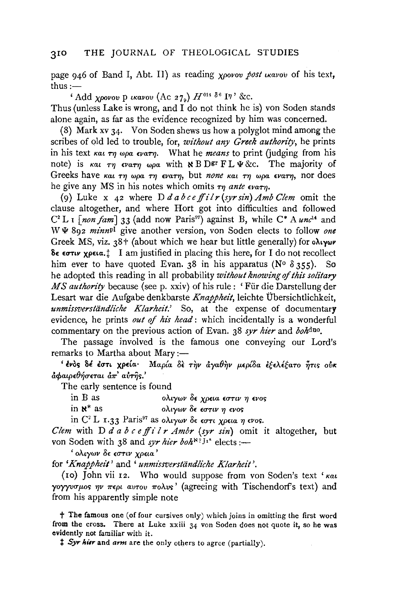page 946 of Band I, Abt. II) as reading *xpovov post travov* of his text,  $thus :=$ 

'Add *xpovov* p  $\iota$ *kavov* (Ac 27<sub>9</sub>)  $H^{014}$   $\delta^6$  I?' &c. Thus (unless Lake is wrong, and I do not think he is) von Soden stands alone again, as far as the evidence recognized by him was concerned.

(8) Mark xv  $34$ . Von Soden shews us how a polyglot mind among the scribes of old led to trouble, for, *without any Greek authority,* he prints in his text  $\kappa a_1 \tau \eta \omega \rho a \epsilon \nu a \tau \eta$ . What he *means* to print (judging from his note) is  $\kappa a_1$   $\tau\eta$   $\epsilon\nu a\tau\eta$  wpa with  $\kappa$  B D<sup>gr</sup> F L  $\Psi$  &c. The majority of Greeks have kat *τη ωρα τη ενατη*, but *none* και τη ωρα ενατη, nor does he give any MS in his notes which omits  $\tau_n$  ante  $\epsilon_{\text{Varm}}$ .

(9) Luke x 42 where *Ddabceffilr(syrsin)AmbClem* omit the clause altogether, and where Hort got into difficulties and followed  $C<sup>2</sup> L I$  *[non fam]* 33 (add now Paris<sup>97</sup>) against B, while  $C^* A$  *unc*<sup>14</sup> and W  $\Psi$  892 *minn*<sup>pl</sup> give another version, von Soden elects to follow *one* Greek MS, viz.  $38 +$  (about which we hear but little generally) for o $\lambda_1$ ywv δε εστιν χρεια.: I am justified in placing this here, for I do not recollect him ever to have quoted Evan. 38 in his apparatus (N°  $\delta$  355). So he adopted this reading in all probability *without knowing* of *this solitary*  MS authority because (see p. xxiv) of his rule : 'Für die Darstellung der Lesart war die Aufgabe denkbarste *Knappheit,* leichte Ubersichtlichkeit, *unmissverstiindliche Klarheit.'* So, at the expense of documentary evidence, he prints *out of his head*: which incidentally is a wonderful commentary on the previous action of Evan. 38 *syr hier* and *bohdno.* 

The passage involved is the famous one conveying our Lord's remarks to Martha about Mary :-

' ένος δέ έστι χρεία· Μαρία δε την άγαθην μερίδα εξελέξατο ήτις ούκ  $\frac{1}{2}$  $\frac{1}{2}$  $\frac{1}{2}$  $\frac{1}{2}$  $\frac{1}{2}$  $\frac{1}{2}$  $\frac{1}{2}$  $\frac{1}{2}$  $\frac{1}{2}$  $\frac{1}{2}$  $\frac{1}{2}$  $\frac{1}{2}$  $\frac{1}{2}$  $\frac{1}{2}$  $\frac{1}{2}$  $\frac{1}{2}$  $\frac{1}{2}$  $\frac{1}{2}$  $\frac{1}{2}$  $\frac{1}{2}$  $\frac{1}{2}$  $\frac{1}{2}$  $\frac{1}{2}$  $\frac{1}{2}$ 

The early sentence is found

in B as  $\delta \chi \gamma \omega \nu \delta \epsilon \chi \rho \epsilon \iota \alpha \epsilon \sigma \tau \iota \nu \eta \epsilon \nu \sigma \varsigma$ 

in  $\aleph^*$  as  $\partial \lambda_i \gamma \omega \partial \epsilon \epsilon \sigma \tau_i \nu \eta \epsilon \nu \sigma s$ 

in  $C^2$  L 1.33 Paris<sup>97</sup> as o $\lambda_i \gamma \omega \nu$   $\delta \epsilon$   $\epsilon \sigma \tau \iota$   $\gamma \rho \epsilon \iota \alpha \eta$   $\epsilon \nu \iota$ .

*Clem* with D *d a b c e ffi l r Ambr (syr sin)* omit it altogether, but von Soden with 38 and *syr hier boh*<sup>\*? J1\*</sup> elects:-

' ολιγων δε εστιν χρεια'

for *'Knappheit'* and ' *unm1'ssverstiindliche Klarheit* '.

(10) John vii 12. Who would suppose from von Soden's text ' $\kappa a\iota$  $\gamma$ o $\gamma$  yv $\sigma\mu$ os  $\eta\nu$   $\pi\epsilon\rho\iota$  avrov  $\pi o\lambda\nu s'$  (agreeing with Tischendorf's text) and from his apparently simple note

 $\dagger$  The famous one (of four cursives only) which joins in omitting the first word from the cross. There at Luke  $xxiii$   $34$  von Soden does not quote it, so he was evidently not familiar with it.

:1: *Syr Mtr* and *ann* are the only others to agree (partially).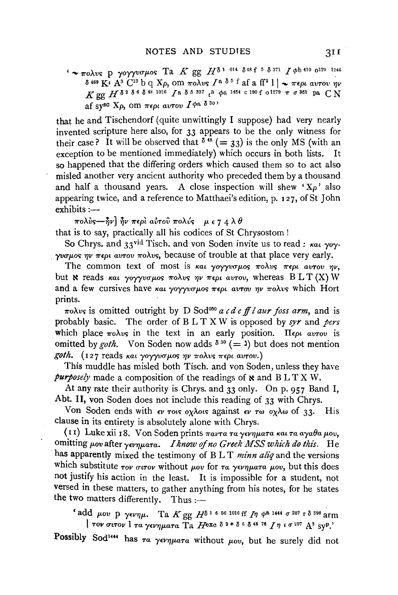# $'$  ~  $\pi$ o $\lambda$ us p  $\gamma$ o $\gamma$  $\nu$ u $\pi$  $\mu$ os Ta *K* gg  $H^{\delta}$ <sup>1 014</sup>  $\delta$ <sup>48 f 5</sup>  $\delta$ <sup>371</sup> *I*  $\phi$ b 410 0<sup>129</sup> 1246  $\delta$ <sup>469</sup>  $\overline{K}$ <sup>2</sup>  $A^3$   $C^{13}$  b q  $X\rho$ , om  $\pi \circ \lambda v$   $I^a$   $\delta$ <sup>5</sup> f af a ff<sup>2</sup>  $| \cdot \rangle \sim \pi \epsilon \rho t$  avrov  $\eta v$  $K$  gg  $H$   $\delta$  <sup>2</sup>  $\delta$  <sup>6</sup>  $\delta$  <sup>48</sup> 1016  $I$  a  $\delta$  5 ss<sub>7</sub> ta  $\phi$ a 1454 c 190 f o 1279  $\pi$   $\sigma$  <sup>551</sup> pa C N af sy<sup>sc</sup>  $X_{\rho}$ , om  $\pi \epsilon \rho \iota$  av  $I^{\phi}$ <sup>a</sup>  $\delta^{30}$

that he and Tischendorf (quite unwittingly I suppose) had very nearly invented scripture here also, for 33 appears to be the only witness for their case? It will be observed that  $\delta^{48} (= 33)$  is the only MS (with an exception to be mentioned immediately) which occurs in both lists. It so happened that the differing orders which caused them so to act also misled another very ancient authority who preceded them by a thousand and half a thousand years. A close inspection will shew  $X_0$  also appearing twice, and a reference to Matthaei's edition, p. 1 2 7, of St John exhibits:-

 $\pi$ ολύς— $\hat{\eta}$ ν]  $\hat{\eta}$ ν περί αύτου πολύς *με 7 4* λθ

that is to say, practically all his codices of St Chrysostom !

So Chrys. and 33<sup>vid</sup> Tisch. and von Soden invite us to read: *Kat yoyyvous*  $\eta v \pi \epsilon \rho \iota$  avrov  $\pi \partial v s$ , because of trouble at that place very early.

The common text of most is *kat yoyyvouos πολυς περι αυτου ην*, but  $\aleph$  reads *kat yoyyvous wolvs*  $\eta v$  *wept avrov*, whereas B L T (X) W and a few cursives have  $\kappa a_1$  *yoyyuo*  $\mu$ os  $\kappa \epsilon \rho \mu$  *avrov*  $\eta \nu$   $\pi o \lambda v s$  which Hort prints.

*πoλvs* is omitted outright by D Sod<sup>050</sup> *a cd e ff l aur foss arm*, and is probably basic. The order of B L T X W is opposed by *syr* and *pers*  which place  $\pi$ o $\lambda$ vs in the text in an early position. II $\epsilon \rho \iota$  *avTov* is omitted by *goth*. Von Soden now adds  $\delta^{30}$  (= ) but does not mention *goth.* (127 reads *και γογγυσμος ην πολυς περι αυτου.*)

This muddle has misled both Tisch. and von Soden, unless they have *purposely* made a composition of the readings of  $\boldsymbol{\kappa}$  and  $\operatorname{BLTX}$  W.

At any rate their authority is Chrys. and 33 only. On p. 957 Band I, Abt. II, von Soden does not include this reading of 33 with Chrys.

Von Soden ends with  $\epsilon v$  *rots oxides against*  $\epsilon v$  *rw oxide of 33.* His clause in its entirety is absolutely alone with Chrys.

(II) Luke xii 18. Von Soden prints *Tavra ra yevnuara kat ra aya* $\theta$ *a µov*, omitting μου after γενηματα. *I know of no Greek MSS which do this.* He has apparently mixed the testimony of B L T *minn aliq* and the versions which substitute  $\tau_{\text{OV}}$   $\sigma$ *u* $\tau_{\text{OV}}$  without  $\mu_{\text{OU}}$  for  $\tau_{\alpha}$   $\gamma_{\text{EV}}$  $\mu_{\text{G}}$ *a*  $\mu_{\text{OU}}$ , but this does not justify his action in the least. It is impossible for a student, not versed in these matters, to gather anything from his notes, for he states the two matters differently. Thus :-

' add  $\mu$ ov **p**  $\gamma$ ev $\eta\mu$ . Ta  $K$  gg  $H^{\delta}$ <sup>1 6 56 1016</sup> ff  $I\eta$   $\phi$ <sup>8 1444</sup>  $\sigma$ <sup>207</sup> r  $\delta$ <sup>398</sup> arm  $\int$  *TOV GUTOV*  $\int$   $\int$   $\alpha$   $\gamma \epsilon \nu \eta \mu \alpha \tau \alpha$   $\int$   $\int$   $\int$   $\int$   $\epsilon$   $\delta$  2\*  $\delta$  6  $\delta$  48 76  $\int$   $\eta$   $\iota$   $\sigma$  207  $\int$   $\Lambda$ <sup>3</sup> syp.'

Possibly Sod<sup>144</sup> has  $\tau a$  *yevnuara* without  $\mu o v$ , but he surely did not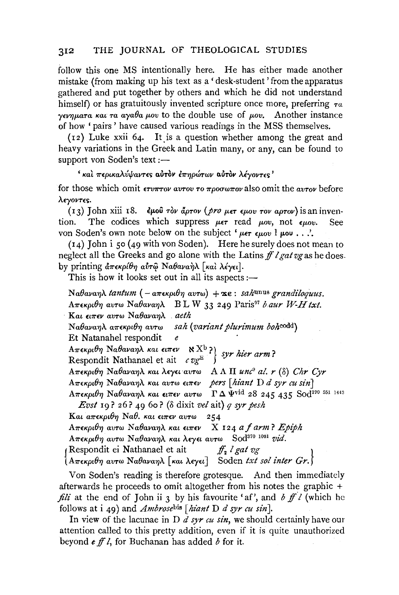follow this one MS intentionally here. He has either made another mistake (from making up his text as a 'desk-student' from the apparatus gathered and put together by others and which he did not understand himself) or has gratuitously invented scripture once more, preferring  $\tau_a$  $\gamma$ ενηματα και τα αγαθα μου to the double use of μου. Another instance of how 'pairs' have caused various readings in the MSS themselves.

 $(12)$  Luke xxii 64. It is a question whether among the great and heavy variations in the Greek and Latin many, or any, can be found to support von Soden's text :-

#### ' και περικαλύψαντες αυτον έπηρώτων αυτον λέγοντες'

for those which omit  $\epsilon_{\text{t}}$   $\epsilon_{\text{t}}$  are avecuted to  $\pi$   $\alpha$   $\alpha$  and  $\alpha$  and  $\alpha$  and  $\alpha$  before λεγοντες.

(13) John xiii 18. εμού τον άρτον (*pro μετ εμου τον αρτον*) is an inven-The codices which suppress  $\mu \epsilon \tau$  read  $\mu \sigma v$ , not  $\epsilon \mu \sigma v$ . tion. **See** von Soden's own note below on the subject ' $\mu \epsilon \tau \epsilon \mu \omega$  !  $\mu \omega \ldots$ .

 $(14)$  John i 50 (49 with von Soden). Here he surely does not mean to neglect all the Greeks and go alone with the Latins ff l gat vg as he does. by printing απεκρίθη αύτω Ναθαναήλ [και λέγει].

This is how it looks set out in all its aspects :—

Nαθαναηλ tantum (- απεκριθη αυτω) + xe : sahunus grandiloguus. B L W 33 249 Paris<sup>97</sup> b aur W-H txt. Απεκριθη αυτω Ναθαναηλ Kαι ειπεν αυτω Ναθαναηλ aeth Ναθαναηλ απεκριθη αυτω sah (variant plurimum bohcodd) Et Natanahel respondit  $\epsilon$ *επικρίνη Ναθαναηλ και είπεν*  $\mathbb{R}^{\{X_b\}}$  *syr hier arm?*<br>Respondit Nathanael et ait c vg<sup>E</sup>  $A\pi\epsilon\kappa\rho\iota\theta\eta$  Ναθαναηλ και λεγει αυτω AΛΠ unc<sup>9</sup> al. r (δ) Chr Cyr  $A\pi\epsilon\kappa\rho\theta\eta$  Na $\theta$ ava $\eta\lambda$  και αυτω ειπεν pers [hiant D d syr cu sin]  $A\pi$ εκριθη Ναθαναηλ και ειπεν αυτω ΓΔ Ψ<sup>νια</sup> 28 245 435 Sod<sup>190 551 1443</sup> *Evst* 19? 26? 49 60? ( $\delta$  dixit vel ait) q syr pesh Και απεκριθη Ναθ. και ειπεν αυτω  $254$ Απεκριθη αυτω Ναθαναηλ και ειπεν X 124 a f arm? Ερίρh Απεκριθη αυτω Ναθαναηλ και λεγει αυτω Sod<sup>370 1091</sup> vid.  $f_2$  l gat  $v_g$ (Respondit ei Nathanael et ait [Απεκριθη αυτω Ναθαναηλ [και λεγει] Soden txt sol inter Gr.]

Von Soden's reading is therefore grotesque. And then immediately afterwards he proceeds to omit altogether from his notes the graphic  $+$ *fili* at the end of John ii 3 by his favourite 'af', and b  $f\bar{f}$  l (which he follows at i 49) and *Ambrose*bis [*hiant D d syr cu sin*].

In view of the lacunae in D  $d$  syr cu sin, we should certainly have our attention called to this pretty addition, even if it is quite unauthorized beyond  $\epsilon$  ff l, for Buchanan has added  $\delta$  for it.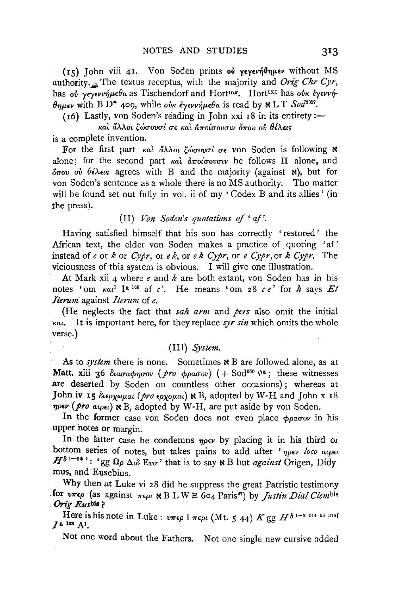$(15)$  John viii 41. Von Soden prints of yeyevn  $\theta$ nuev without MS authority. The textus receptus, with the majority and *Orig Chr Cyr*, has *ού γεγεννήμεθα* as Tischendorf and Hort<sup>mg</sup>. Hort<sup>txt</sup> has *ούκ έγεννή*  $\theta_{\text{HUEV}}$  with B D<sup>\*</sup> 409, while *oux exerging* is read by  $N L T S o d^{\text{3017}}$ .

 $(16)$  Lastly, von Soden's reading in John xxi  $18$  in its entirety:-

*Kat* dAAot ~wa-ova-{ *(]"£ Kat a1!"o{a-ova-tv 071"0V ov ()I.A.w;*  is a complete invention.

For the first part και άλλοι ζώσουσί σε von Soden is following **\*** alone; for the second part  $\kappa a \hat{i} d\pi \hat{o}(\sigma \hat{o} \hat{o} \hat{o} \hat{o} \hat{o} \hat{o})$  he follows  $\Pi$  alone, and  $\delta \pi$ ov *ov*  $\theta \in \lambda \infty$  agrees with B and the majority (against **x**), but for von Soden's sentence as a whole there is no MS authority. The matter will be found set out fully in vol. ii of my 'Codex B and its allies' (in the press).

# (II) *Von Soden's quotations of 'af'*.

Having satisfied himself that his son has correctly 'restored' the African text, the elder von Soden makes a practice of quoting 'af' instead of *e* or *k* or *Cypr*, or *ek*, or *ek Cypr*, or *e Cypr*, or *k Cypr*. The viciousness of this system is obvious. I will give one illustration.

At Mark xii 4 where *e* and *k* are both extant, von Soden has in his notes 'om  $\kappa a t^1$  Ia <sup>168</sup> af *c*'. He means 'om 28 *ce'* for *k* says *Et Iterum* against *Iterum* of *e.* 

(He neglects the fact that *sah arm* and *pers* also omit the initial *Kat.* It is important here, for they replace *syr sin* which omits the whole verse.)

### (III) *System.*

As to *system* there is none. Sometimes **x** B are followed alone, as at Matt. xiii 36  $\delta_{\alpha\alpha\alpha\phi\eta\sigma\sigma\nu}$  (*pro*  $\phi_{\alpha\alpha\sigma\nu}$ ) ( + Sod<sup>050</sup>  $\phi^a$ ; these witnesses are deserted by Soden on countless other occasions); whereas at John iv 15  $\delta_{\ell}$ <sub>p</sub>*x* $\delta_{\ell}$ *at* (*pro*  $\epsilon_{\ell}$ *px* $\delta_{\ell}$ *n*) **N**B, adopted by W-H and John x 18 *nper* (*pro* a<sub>tpet</sub>) **×** B, adopted by W-H, are put aside by von Soden.

In the former case von Soden does not even place  $\phi_{\rho\alpha\sigma\rho\sigma}$  in his upper notes or margin.

In the latter case he condemns  $\eta \rho \epsilon \nu$  by placing it in his third or bottom series of notes, but takes pains to add after 'nper loco atpet  $H^{\delta 1-2*}$  : 'gg  $\Omega_{\rho}$   $\Delta \omega$  Eva<sup>-</sup>' that is to say **x** B but *against* Origen, Didymus, and Eusebius.

Why then at Luke vi 28 did he suppress the great Patristic testimony **.for** *V7r£p* (as against *7r£pt* ~ B LW E 604 Paris97) by *Justin Dial Clembis* . *Orig Eusbia* ?

Here is his note in Luke:  $v\pi\epsilon\rho$  1  $\pi\epsilon\rho\iota$  (Mt. 5 44)  $K$  gg  $H^{\delta 1-2}$  <sup>014 56</sup> 376f  $I<sup>a</sup>$ <sup>133</sup> A<sup>1</sup>.

Not one word about the Fathers. Not one single new cursive added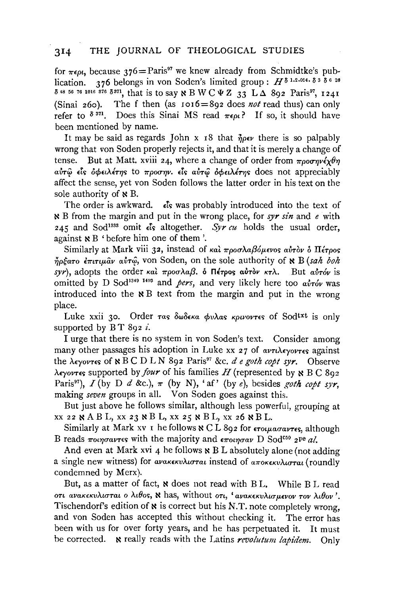for  $\pi\epsilon \rho t$ , because 376=Paris<sup>97</sup> we knew already from Schmidtke's pub-<br>lication. 376 belongs in von Soden's limited group:  $H^{\delta^{1,2,014}}$ lication. 376 belongs in von Soden's limited group:  $H^{\delta 1.2.014. \delta 3. \delta 6.26}$  $\delta$ <sup>48</sup> 56 76 1016 876  $\delta$ <sup>871</sup>, that is to say N B W C  $\Psi$  Z 33 L  $\Delta$  892 Paris<sup>97</sup>, 1241 (Sinai 260). The f then (as  $1016=892$  does *not* read thus) can only refer to  $\delta^{371}$ . Does this Sinai MS read  $\pi \epsilon \omega$ ? If so, it should have been mentioned by name.

It may be said as regards John x 18 that  $\eta_{\rho}e\nu$  there is so palpably wrong that von Soden properly rejects it, and that it is merely a change of tense. But at Matt. xviii 24, where a change of order from  $\pi_{\theta}$ *oornv* $\epsilon \sqrt{\theta \eta}$ *a{m{J £i!> ocpnAlT'YJ!>* to *7rpOU'YJV· £i!>* a{m~ *ocpnAlT'YJ!>* does not appreciably affect the sense, yet von Soden follows the latter order in his text on the sole authority of  $\ltimes B$ .

The order is awkward.  $\epsilon \hat{\epsilon}$ s was probably introduced into the text of <sup>~</sup>B from the margin and put in the wrong place, for *syr sin* and *e* with 245 and Sod<sup>1888</sup> omit  $\epsilon$ s altogether. *Syr cu* holds the usual order, against  $\ltimes B$  ' before him one of them '.

Similarly at Mark viii 32, instead of και προσλαβόμενος αυτον ο Πέτρος  $\eta$ pćaro  $\epsilon \pi i \tau \mu \hat{a} \nu$  avr $\hat{\varphi}$ , von Soden, on the sole authority of  $\kappa$  B *(sah boh*  $syr$ ), adopts the order *kal*  $\pi \rho \circ \sigma \lambda a \beta$ ,  $\delta$   $\Pi \epsilon \tau \rho \circ \sigma \alpha \nu + \tau \lambda$ . But  $a\dot{v} \tau \dot{\alpha}v$  is omitted by D Sod<sup>1349 1493</sup> and *pers*, and very likely here too *avróv* was introduced into the  $\ltimes B$  text from the margin and put in the wrong place.

Luke xxii 30. Order *ras* δωδεκα φυλας κρινοντες of Sod<sup>txt</sup> is only supported by B T 892 *i*.

I urge that there is no system in von Soden's text. Consider among many other passages his adoption in Luke xx 27 of  $a\nu\tau\lambda\epsilon\nu\sigma\nu\tau\epsilon s$  against the *A£yovT£'>* of ~ B C D L N 892 Paris97 &c. *de goth copt syr.* Observe *AEYOVTES* supported by *four* of his families *H* (represented by **N** B C 802 Paris<sup>97</sup>),  $I$  (by D  $d$  &c.),  $\pi$  (by N), 'af' (by *e*), besides *goth copt syr*, making *seven* groups in all. Von Soden goes against this.

But just above he follows similar, although less powerful, grouping at XX 22 NAB L, XX 23 NB L, XX 25 NB L, XX 26 NB L.

Similarly at Mark xv I he follows N C L 892 for  $\epsilon \tau o \mu a \sigma a \nu \tau \epsilon s$ , although B reads  $\pi$ *oungavtes* with the majority and  $\epsilon \pi$ *oungav* D Sod<sup>c50</sup> 2<sup>pe</sup> *al.* 

And even at Mark xvi 4 he follows  $\boldsymbol{\kappa}$  B L absolutely alone (not adding a single new witness) for *avakekvAtorat* instead of *arrokekvAtorat* (roundly condemned by Merx).

But, as a matter of fact, **N** does not read with BL. While BL read OT! *aVUK€KVALUTUL* 0 *At0o!>,* N has, Without *OTL, 'avaK€KVALUp.€VOV TOV At0ov* '. Tischendorf's edition of  $\boldsymbol{\kappa}$  is correct but his N.T. note completely wrong. and von Soden has accepted this without checking it. The error has been with us for over forty years, and he has perpetuated it. It must be corrected. N really reads with the Latins *revolutum lapidem.* Only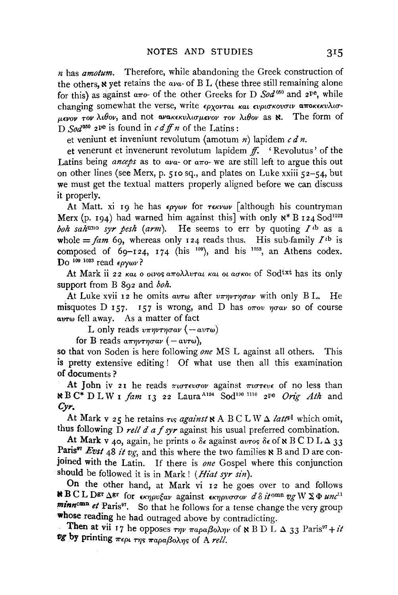$n$  has *amotum*. Therefore, while abandoning the Greek construction of the others,  $\aleph$  yet retains the  $a\upsilon a$ - of B L (these three still remaining alone for this) as against  $a\pi o$ - of the other Greeks for D  $Sod^{060}$  and  $2^{pe}$ , while *uevov* Toy  $\lambda \iota \theta$ ov, and not avaken  $\lambda \iota \sigma \mu \in V$  Tov  $\lambda \iota \theta$ ov as **N**. The form of D Sod<sup>050</sup> 2<sup>pe</sup> is found in c d ff n of the Latins:

et veniunt et inveniunt revolutum (amotum n) lapidem  $c \, d \, n$ .

et venerunt et invenerunt revolutum lapidem  $f$ . 'Revolutus' of the Latins being *anceps* as to  $a\mu a$ - or  $a\pi$ o- we are still left to argue this out on other lines (see Merx, p. 510 sq., and plates on Luke xxiii 52-54, but we must get the textual matters properly aligned before we can discuss it properly.

At Matt. xi 19 he has  $\epsilon_{\rho\gamma\omega\nu}$  for  $\tau \epsilon_{\kappa\nu\omega\nu}$  [although his countryman Merx (p. 194) had warned him against this with only  $x^* B$  124 Sod<sup>1222</sup> boh sahuno syr pesh (arm). He seems to err by quoting  $I^{th}$  as a whole =  $\tan$  60, whereas only 124 reads thus. His sub-family  $I^{\text{th}}$  is composed of  $69-124$ ,  $174$  (his <sup>109</sup>), and his <sup>1033</sup>, an Athens codex. Do 109 1033 read  $\epsilon \rho \gamma \omega \nu$ ?

At Mark ii 22 και ο οινος απολλυται και οι ασκοι of Sod<sup>txt</sup> has its only support from B  $8q^2$  and  $b$ oh.

At Luke xvii 12 he omits avrw after  $v\pi\eta v\tau\eta\sigma\alpha v$  with only BL. He misquotes D 157. 157 is wrong, and D has  $\sigma \pi \sigma v \eta \sigma \alpha v$  so of course avr<sub>w</sub> fell away. As a matter of fact

L only reads  $v\pi\eta v\tau\eta\sigma\alpha\nu$  ( $-\alpha v\tau\omega$ )

for B reads  $a\pi\eta\nu\tau\eta\sigma a\nu$  ( – avrw),

so that von Soden is here following one MS L against all others. This is pretty extensive editing! Of what use then all this examination of documents?

At John iv 21 he reads  $\pi\omega\tau\epsilon\nu\omega\omega$  against  $\pi\omega\tau\epsilon\nu\epsilon$  of no less than **\*** B C\* D L W I fam 13 22 Laura<sup>A104</sup> Sod<sup>190 1110</sup> 2<sup>pe</sup> Orig Ath and  $Cvr$ 

At Mark v 25 he retains  $\tau$  is against  $\mathbf x$  A BC L W  $\Delta$  latt<sup>pl</sup> which omit, thus following  $D$  rell d a f syr against his usual preferred combination.

At Mark v 40, again, he prints  $\delta \epsilon$  against avros  $\delta \epsilon$  of N B C D L  $\Delta$  33 Paris<sup>97</sup> Evst 48 it vg, and this where the two families  $\aleph$  B and D are conjoined with the Latin. If there is one Gospel where this conjunction should be followed it is in Mark! (Hiat syr sin).

On the other hand, at Mark vi 12 he goes over to and follows **N B C L DET AST** for  $\epsilon \kappa \eta \rho v \xi \alpha \nu$  against  $\epsilon \kappa \eta \rho v \sigma \sigma \nu \ d \delta$  it on  $v g W \Sigma \Phi u n c^{11}$ minnomn et Paris<sup>97</sup>. So that he follows for a tense change the very group whose reading he had outraged above by contradicting.

Then at vii 17 he opposes  $\tau \eta \nu \pi a \rho a \beta o \lambda \eta \nu$  of N B D L  $\Delta$  33 Paris<sup>97</sup> + it vg by printing  $\pi \epsilon \rho_1$   $\tau \eta_5$   $\pi a \rho a \beta o \lambda \eta_5$  of A rell.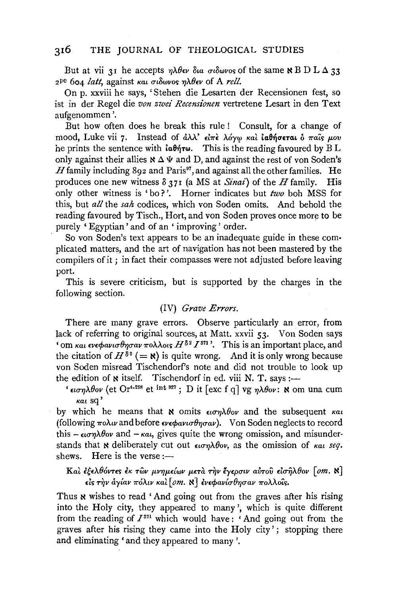But at vii 31 he accepts  $\eta \lambda \theta \infty$  Signal or  $\delta \omega \nu \infty$  of the same  $\kappa$  B D L  $\Delta$  33  $2^{pe}$  604 *latt*, against και σιδωνος ηλθεν of A rell.

On p. xxviii he says, 'Stehen die Lesarten der Recensionen fest, so ist in der Regel die *von zwei Recensionen* vertretene Lesart in den Text aufgenommen '.

But how often does he break this rule ! Consult, for a change of mood, Luke vii 7. Instead of  $d\lambda\lambda'$   $\epsilon l\pi\epsilon$   $\lambda o\gamma\omega$  και ιαθήσεται ο παις μου he prints the sentence with  $\mathbf{i} \mathbf{a} \mathbf{\theta} \mathbf{\hat{n}} \mathbf{w}$ . This is the reading favoured by B L only against their allies  $\mathbb{N} \Delta \Psi$  and D, and against the rest of von Soden's  $H$  family including 892 and Paris<sup>97</sup>, and against all the other families. He produces one new witness  $\delta$  371 (a MS at *Sinai*) of the H family. His only other witness is 'bo? '. Homer indicates but *two* bob MSS for this, but *all* the *sah* codices, which von Soden omits. And behold the reading favoured by Tisch., Hort, and von Soden proves once more to be purely 'Egyptian' and of an' improving' order.

So von Soden's text appears to be an inadequate guide in these com· plicated matters, and the art of navigation has not been mastered by the compilers of it; in fact their compasses were not adjusted before leaving port.

This is severe criticism, but is supported by the charges in the following section.

#### (IV) *Grave Errors.*

There are many grave errors. Observe particularly an error, from lack of referring to original sources, at Matt. xxvii 53. Von Soden says ' om kat  $\epsilon v \epsilon \phi \omega v \sigma \theta \eta \sigma \omega \pi$ o $\lambda \lambda \omega s$   $H^{\delta^2} I^{371}$ '. This is an important place, and the citation of  $H^{\delta^2}$  (= N) is quite wrong. And it is only wrong because von Soden misread Tischendorf's note and did not trouble to look up the edition of  $\boldsymbol{\kappa}$  itself. Tischendorf in ed. viii N. T. says:—

 $\epsilon$ <sub>tarn</sub> $\lambda \theta$ ov (et Or<sup>4,298</sup> et <sup>int 927</sup> ; D it [exc f q] vg n $\lambda \theta$ ov: N om una cum  $\kappa$ ai sq'

by which he means that **N** omits  $\epsilon \omega \eta \lambda \theta_{0} v$  and the subsequent  $\kappa \alpha \iota$ (following  $\pi$ o $\lambda$ *w* and before  $\epsilon v \epsilon \phi \alpha v \sigma \theta \eta \sigma \alpha v$ ). V on Soden neglects to record this  $-\epsilon_i\sigma\eta\lambda\theta$ ov and  $-\kappa\alpha_i$ , gives quite the wrong omission, and misunderstands that **N** deliberately cut out  $\epsilon \iota \sigma \eta \lambda \theta \circ v$ , as the omission of  $\kappa \alpha \iota$  seq. shews. Here is the verse  $:$ -

Kai εξελθόντες εκ των μνημείων μετα την έγερσιν αύτου εισηλθον [om. 8] είς την άγίαν πόλιν καὶ  $[om.$   $\mathbf{N}]$  ενεφανίσ $\theta$ ησαν πολλοΐς.

Thus **x** wishes to read 'And going out from the graves after his rising into the Holy city, they appeared to many', which is quite different from the reading of  $I^{371}$  which would have: 'And going out from the graves after his rising they came into the Holy city'; stopping there and eliminating 'and they appeared to many '.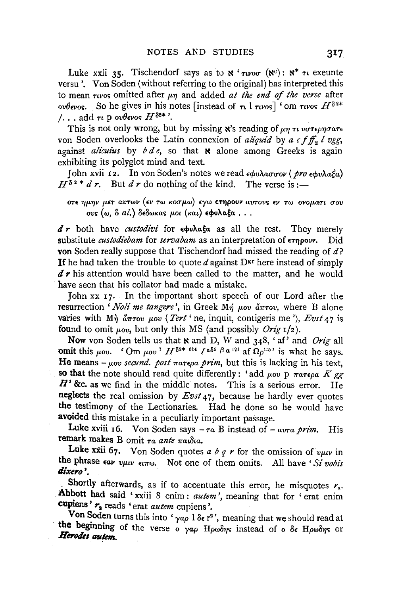Luke xxii 35. Tischendorf says as to  $\aleph$  ' $\tau$ *uvor* ( $\aleph$ <sup>e</sup>):  $\aleph^*$   $\tau$ *u* exeunte versu'. Von Soden (without referring to the original) has interpreted this to mean rivos omitted after  $\mu$ n and added at the end of the verse after So he gives in his notes [instead of  $\tau_l$  ]  $\tau_{l} \nu_{\text{OS}}$ ] 'om  $\tau_{l} \nu_{\text{OS}} H^{\delta_{2*}}$ ουθενος.  $\ldots$  add  $\tau\iota$  p over  $H^{\delta^{2*}}$ .

This is not only wrong, but by missing  $x$ 's reading of  $\mu\eta \tau \nu \nu \sigma \tau \epsilon \rho \eta \sigma \alpha \tau \epsilon$ von Soden overlooks the Latin connexion of aliquid by a cf  $f_2$  l vgg, against *alicuius* by  $b d e$ , so that **N** alone among Greeks is again exhibiting its polyglot mind and text.

Iohn xvii 12. In von Soden's notes we read εφυλασσον (pro εφυλαξα)  $H^{\delta^2*} d r$ . But  $d r$  do nothing of the kind. The verse is :-

στε ημην μετ αυτων (εν τω κοσμω) εγω ετηρουν αυτους εν τω ονοματι σου ους (ω, δ al.) δεδωκας μοι (και) εφυλαξα...

 $d \, r$  both have *custodivi* for  $\epsilon \phi v \lambda \alpha \xi \alpha$  as all the rest. They merely substitute *custodiebam* for *servabam* as an interpretation of  $\epsilon$ rnpour. von Soden really suppose that Tischendorf had missed the reading of  $d$ ? If he had taken the trouble to quote d against  $D^{\text{gr}}$  here instead of simply  $d \, r$  his attention would have been called to the matter, and he would have seen that his collator had made a mistake.

John xx 17. In the important short speech of our Lord after the resurrection '*Noli me tangere*', in Greek  $M\eta$   $\mu$ ov  $\tilde{a}\pi\tau$ ov, where B alone varies with  $M\eta$   $\partial \pi \tau \circ v$   $\mu \circ v$  (*Tert* ' ne, inquit, contigers me '), *Evst 47* is found to omit  $\mu_{ov}$ , but only this MS (and possibly *Orig*  $1/2$ ).

Now von Soden tells us that x and D, W and  $348$ , 'af' and Orig all omit this *uov.*  $\int$ Om *uov*<sup>1</sup>  $H^{\delta^{2*}}$ <sup>014</sup>  $\int$ <sup>2 $\delta^{5}$ </sup>  $\beta$   $\alpha$ <sup>121</sup> af  $\Omega$ <sub>2</sub><sup>1;5</sup> is what he savs. He means  $-\mu_{0}v$  secund. post  $\pi a\tau \epsilon \rho a$  prim, but this is lacking in his text. so that the note should read quite differently: 'add *uov* D  $\pi a \pi \epsilon_0 a$  K or  $H'$  &c. as we find in the middle notes. This is a serious error. He neglects the real omission by  $E v s t 47$ , because he hardly ever quotes the testimony of the Lectionaries. Had he done so he would have avoided this mistake in a peculiarly important passage.

Luke xviii 16. Von Soden says  $-\tau a$  B instead of  $-\arctan \rho r$ im. **His** remark makes B omit  $\tau a$  ante  $\pi a u \delta a$ .

Luke xxii 67. Von Soden quotes a b q r for the omission of v $\mu$ uv in the phrase car vuur cirro. Not one of them omits. All have 'Si vobis dixero'.

Shortly afterwards, as if to accentuate this error, he misquotes  $r<sub>2</sub>$ . Abbott had said 'xxiii 8 enim : autem', meaning that for 'erat enim cupiens' ra reads 'erat autem cupiens'.

Von Soden turns this into ' $\gamma a\rho$  l  $\delta \epsilon$  r<sup>2</sup>', meaning that we should read at the beginning of the verse  $\circ$   $\gamma a \rho$  Howbys instead of  $\circ$  δε Ηρωδης or Herodes autem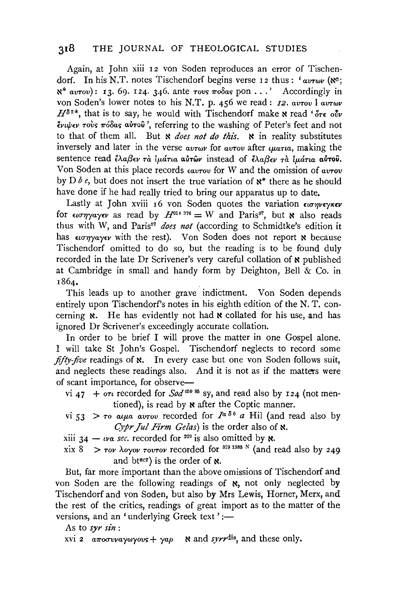Again, at John xiii 12 von Soden reproduces an error of Tischendorf. In his N.T. notes Tischendorf begins verse 12 thus:  $'$ av $\tau \omega \nu$  ( $\aleph$ <sup>c</sup>; ~\* *avTov):* 13. 69. I 24. 346. ante *Tovs 1ro8as* pon ... ' Accordingly in von Soden's lower notes to his N.T. p. 456 we read: *I2. avTov l avTwv*  $H^{\delta^2*}$ , that is to say, he would with Tischendorf make  $\kappa$  read ' $\delta\tau\epsilon$  ow *(vup(v Toi.s 1r68as a&Tou* ', referring to the washing of Peter's feet and not to that of them all. But **x** does not do this. **x** in reality substitutes inversely and later in the verse *avTwv* for *avTov* after *the thana*, making the sentence read έλαβεν τα *iμάτια* αυτών instead of έλαβεν τα *iμάτια* αυτού. Von Soden at this place records  $\epsilon_{\alpha\nu\tau\sigma\nu}$  for W and the omission of  $\alpha\nu\tau\sigma\nu$ by *Dbe*, but does not insert the true variation of  $x^*$  there as he should have done if he had really tried to bring our apparatus up to date,

Lastly at John xviii 16 von Soden quotes the variation  $\epsilon \omega \gamma \gamma \epsilon \gamma \kappa \epsilon \nu$ for  $\epsilon u \sigma \eta y \alpha y \epsilon v$  as read by  $H^{014}{}^{376} = W$  and Paris<sup>97</sup>, but **x** also reads thus with W, and Paris<sup>97</sup> does not (according to Schmidtke's edition it has  $\epsilon_i \sigma_j \gamma_i \gamma_j \epsilon \nu$  with the rest). Von Soden does not report **x** because Tischendorf omitted to do so, but the reading is to be found duly recorded in the late Dr Scrivener's very careful collation of  $\boldsymbol{\kappa}$  published at Cambridge in small and handy form by Deighton, Bell  $&$  Co. in I864,

This leads up to another grave indictment. Von Soden depends entirely upon Tischendorf's notes in his eighth edition of the N. T. concerning  $\mathbf{x}$ . He has evidently not had  $\mathbf{x}$  collated for his use, and has ignored Dr Scrivener's exceedingly accurate collation.

In order to be brief I will prove the matter in one Gospel alone. I will take St John's Gospel. Tischendorf neglects to record some *fifty-five* readings of **x**. In every case but one von Soden follows suit, and neglects these readings also. And it is not as if the matters were of scant importance, for observe-

- vi 47 +  $\sigma$ *r* recorded for *Sod*<sup>050 95</sup> sy, and read also by 124 (not mentioned), is read by  $\boldsymbol{\kappa}$  after the Coptic manner.
- vi 53 >  $\tau$ <sup>0</sup> a*u* $\mu$ <sup>2</sup> a *x*<sub>0</sub> *a*  $\mu$ <sup>2</sup> *a* **H**il (and read also by Cypr Jul Firm Gelas) is the order also of **x**.

xiii  $34 - \nu a$  sec. recorded for <sup>329</sup> is also omitted by **x**.

xix  $8 > \tau$ ov  $\lambda$ oyov  $\tau$ ov $\tau$ ov recorded for <sup>329 1385</sup> N (and read also by 249) and btscr) is the order of  $\aleph$ .

But, far more important than the above omissions of Tischendorf and von Soden are the following readings of **N,** not only neglected by Tischendorf and von Soden, but also by Mrs Lewis, Homer, Merx, and the rest of the critics, readings of great import as to the matter of the versions, and an 'underlying Greek text' :-

As to *syr sin* :

xvi 2  $a\pi o\sigma v\gamma a\gamma o\gamma v\gamma + \gamma a\rho$  **x** and *syrr*<sup>dis</sup>, and these only.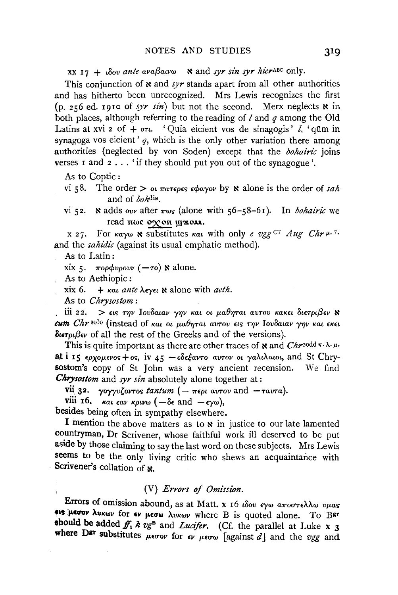XX 17 + ιδου ante avaβaivω N and syr sin syr hierABC only.

This conjunction of  $\bf{x}$  and syr stands apart from all other authorities and has hitherto been unrecognized. Mrs Lewis recognizes the first (p. 256 ed. 1910 of syr sin) but not the second. Merx neglects  $x$  in both places, although referring to the reading of  $l$  and  $q$  among the Old Latins at xvi 2 of  $+$  or  $\iota$  'Ouia eicient vos de sinagogis'  $\iota$ , 'qūm in synagoga vos eicient'  $q$ , which is the only other variation there among authorities (neglected by von Soden) except that the bohairic joins verses I and 2... 'if they should put you out of the synagogue'.

As to Coptic:

- vi 58. The order  $>$  or  $\pi a \tau \epsilon \rho \epsilon s$   $\epsilon \phi a \gamma o \nu$  by  $\kappa$  alone is the order of sah and of bohdis.
- N adds our after  $\pi \omega s$  (alone with 56-58-61). In *bohairic* we  $vi$   $52.$ read πως οχοπ ψχολι.

x 27. For  $\kappa \alpha \gamma \omega$  **x** substitutes  $\kappa \alpha \iota$  with only e veg CT Aug Chr  $\mu$ .<sup>7</sup>. and the sahidic (against its usual emphatic method).

As to Latin:

xix 5.  $\pi$ oopvoovv (- $\tau$ o) N alone.

As to Aethiopic:

 $x$ ix 6.  $+$  kat ante  $\lambda$ evet  $\aleph$  alone with aeth.

As to Chrysostom:

iii 22. > εις την Ιουδαιαν γην και οι μαθηται αυτου κακει διετριβεν  $\aleph$ cum Chr solo (instead of και οι μαθηται αυτου εις την Ιουδαιαν γην και εκει  $\delta$ uer $\mu\beta$ ev of all the rest of the Greeks and of the versions).

This is quite important as there are other traces of **x** and  $Chr^{\text{codd}\pi \lambda \cdot \mu}$ . at i 15  $\epsilon\rho$ *xouevos* + os. iv  $45 - \epsilon\delta\epsilon$ *έαντο αυτον οι γαλιλαιοι*, and St Chrysostom's copy of St John was a very ancient recension. We find **Chrysostom** and syr sin absolutely alone together at:

vii 32.  $\gamma$ oyyvζovτos tantum (- περι αυτου and - ταυτα).

viii 16.  $\kappa a \iota \epsilon a \nu \kappa \rho \iota \nu \omega$  ( $-\delta \epsilon$  and  $-\epsilon \gamma \omega$ ),

besides being often in sympathy elsewhere.

I mention the above matters as to x in justice to our late lamented countryman, Dr Scrivener, whose faithful work ill deserved to be put aside by those claiming to say the last word on these subjects. Mrs Lewis seems to be the only living critic who shews an acquaintance with Scrivener's collation of x.

## (V) Errors of Omission.

Errors of omission abound, as at Matt. x 16 ιδου εγω αποστελλω υμας ets perour AUKWV for ev perw AUKWV where B is quoted alone. To BET should be added  $f_1$  k  $v_g$ <sup>B</sup> and *Lucifer*. (Cf. the parallel at Luke x 3 where D<sup>gr</sup> substitutes  $\mu$ *co* $\omega$  for  $\epsilon \nu$   $\mu$ *co* $\omega$  [against  $d$ ] and the vgg and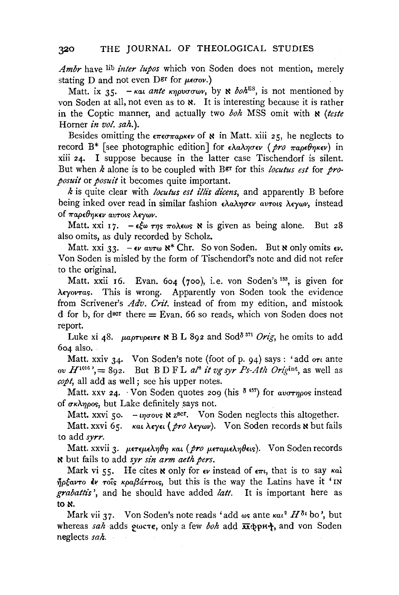*Ambr* have lib *inter lupos* which von Soden does not mention, merely stating D and not even  $\text{D}^{\text{gr}}$  for  $\mu\epsilon\sigma_0\nu$ .)

Matt. ix 35. - Kat *ante knovosov*, by  $\aleph$  *boh*<sup>ES</sup>, is not mentioned by von Soden at all, not even as to  $\kappa$ . It is interesting because it is rather in the Coptic manner, and actually two *boh* MSS omit with  $\kappa$  (teste Horner *in vol.* sah.).

Besides omitting the  $\epsilon \pi \epsilon \sigma \pi a \rho \kappa \epsilon \nu$  of  $\kappa$  in Matt. xiii 25, he neglects to record B<sup>\*</sup> [see photographic edition] for  $\epsilon \lambda a \lambda \eta \sigma \epsilon \nu$  (pro  $\pi a \rho \epsilon \theta \eta \kappa \epsilon \nu$ ) in xiii 24. I suppose because in the latter case Tischendorf is silent. But when *k* alone is to be coupled with Bgr for this *loculus est* for *proposuit* or *posuit* it becomes quite important.

*k* is quite clear with *locutus est illis dicens*, and apparently B before being inked over read in similar fashion *ελαλησεν αυτοι*ς λεγων, instead of *παρεθηκεν αυτοις λεγων.* 

Matt. xxi 17.  $-\epsilon \xi \omega \tau \eta s \pi o \lambda \epsilon \omega s$  **x** is given as being alone. But 28 also omits, as duly recorded by Scholz.

Matt. xxi 33.  $-e\nu$  avrw  $\aleph^*$  Chr. So von Soden. But  $\aleph$  only omits  $\epsilon \nu$ . Von Soden is misled by the form of Tischendorf's note and did not refer to the original.

Matt. xxii 16. Evan. 604 (700), i.e. von Soden's <sup>133</sup>, is given for *A£yovTas.* This is wrong. Apparently von Soden took the evidence from Scrivener's *Adv. Crit.* instead of from my edition, and mistook d for b, for dscr there  $=$  Evan. 66 so reads, which von Soden does not report.

Luke xi 48. *µaptvperte*  $\ltimes$  B L 892 and Sod<sup>8 371</sup> *Orig*, he omits to add 604 also.

Matt. xxiv 34. Von Soden's note (foot of p. 94) says: 'add  $\sigma_t$  ante *ov*  $H^{1016}$ , = 892. But BDFL  $a l^8$  *it vg syr Ps-Ath Origint*, as well as *copt,* all add as well ; see his upper notes.

Matt. xxv 24. · Von Soden quotes 209 (his  $\delta$ <sup>457</sup>) for *avornos* instead of  $\sigma \kappa \lambda \eta \rho \circ s$ , but Lake definitely says not.

Matt. xxvi 50.  $-i$ *ngovs*  $\times$  z<sup>scr</sup>. Von Soden neglects this altogether.

Matt. xxvi 65. *και λεγει ( pro λεγων*). Von Soden records **κ** but fails to add *syrr.* 

Matt. xxvii 3. μετεμεληθη και (*pro μεταμεληθεις*). Von Soden records <sup>~</sup>but fails to add *syr sin arm aeth pers.* 

Mark vi 55. He cites  $\mathbf x$  only for  $\epsilon \nu$  instead of  $\epsilon \pi \iota$ , that is to say  $\kappa a \iota$  $\eta$ <sub>p</sub> $\zeta$ <sub>a</sub> $\nu$ <sub>7</sub>  $\zeta$ <sub>5</sub>  $\kappa$ <sub>pa</sub> $\beta$ <sub>a</sub> $\zeta$ <sub>770</sub><sub>5</sub>, but this is the way the Latins have it 'IN *grabattis* ', and he should have added *latt.* It is important here as to  $\aleph$ .

Mark vii 37. Von Soden's note reads 'add  $\omega s$  ante  $\kappa a t^2 H^{\delta t}$  bo', but whereas *sah* adds *p*ωcτε, only a few *boh* add  $\overline{\text{π}}$ φpH;, and von Soden neglects *sah.*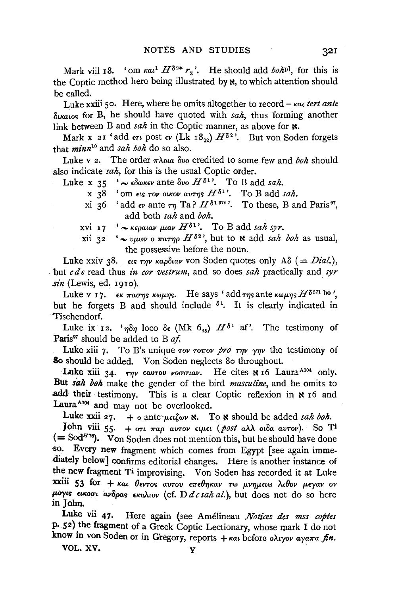Mark viii 18. 'om  $\kappa a_1^1 H^{\delta_{2*}} r_2$ '. He should add *boh*<sup>p1</sup>, for this is the Coptic method here being illustrated by  $x$ , to which attention should be called.

Luke xxiii so. Here, where he omits altogether to record- *Kat tert ante*   $\delta_{\kappa\kappa\mu\alpha\kappa}$  for B, he should have quoted with *sah*, thus forming another link between B and *sah* in the Coptic manner, as above for  $\aleph$ .

Mark x 21 'add  $\epsilon \tau \nu$  post  $\epsilon \nu$  (Lk 18...)  $H^{\delta^2}$ . But von Soden forgets that *minn10* and *sah boh* do so also.

Luke v 2. The order  $\pi \lambda$ ota  $\delta \nu$  credited to some few and *boh* should also indicate *sah,* for this is the usual Coptic order.

- Luke x 35  $\sim \epsilon \delta \omega \kappa \epsilon \nu$  ante  $\delta \nu \omega H \delta^{1}$ . To B add *sah.* 
	- x  $38$  <sup>'</sup> om ets *TOV OIKOV aurtys H*<sup> $\delta$ 1</sup>'. To B add *sah*.
	- xi 36 'add  $\epsilon_V$  ante  $\tau_T$  Ta?  $H^{\delta_1 \delta_1 \delta_0}$ . To these, B and Paris<sup>97</sup>, add both *sah* and *boh.*
	- xvi 17  $\rightarrow$   $\kappa \epsilon_0 a u v \mu a v H^{\delta}$ . To B add *sah syr.*
	- xii 32  $\sim v \mu \omega v$  o  $\pi a \tau \eta \rho$   $H^{\delta^2}$ , but to **N** add *sah boh* as usual, the possessive before the noun.

Luke xxiv 38.  $\epsilon_{15}$  *rnv kapSuav* von Soden quotes only AS (= *Dial.*), but *c de* read thus *in cor vestrum,* and so does *sah* practically and *syr sin* (Lewis, ed. 1910).

Luke v 17.  $\epsilon_K \pi a \sigma \eta s$  *KWHN*<sub>S</sub>. He says 'add  $\tau \eta s$  ante  $\kappa \omega \mu \eta s$   $H^{\delta s \eta s}$  bo ', but he forgets B and should include  $\delta^1$ . It is clearly indicated in Tischendorf.

Luke ix 12. *'non* loco  $\delta \epsilon$  (Mk  $6_{35}$ )  $H^{\delta}$ <sup>1</sup> af'. The testimony of Paris<sup>97</sup> should be added to B af.

Luke xiii 7. To B's unique  $\tau$ ov  $\tau$ o $\pi$ ov  $\gamma$ *pro*  $\tau\eta\nu$   $\gamma\eta\nu$  the testimony of .8o should be added. V on Soden neglects 8o throughout.

Luke xiii 34.  $\tau_{\eta\nu}$  eautou *voctual*. He cites N 16 Laura<sup>A104</sup> only. But *sah boh* make the gender of the bird *masculine,* and he omits to add their testimony. This is a clear Coptic reflexion in  $x$  16 and Laura<sup>A104</sup> and may not be overlooked.

Luke xxii 27. + o ante  $\mu \in \mathcal{L}$  w **N**. To **x** should be added *sah boh.* 

John viii 55. +  $\sigma t$   $\pi a \rho$  avrov  $\epsilon \mu \epsilon t$  (post a $\lambda \lambda$  ot  $\delta a$  avrov). So T<sup>i</sup>  $( =$  Sod<sup>*H*78</sup>). Von Soden does not mention this, but he should have done so. Every new fragment which comes from Egypt [see again immediately below] confirms editorial changes. Here is another instance of the new fragment Ti improvising. Von Soden has recorded it at Luke xxiii 53 for + *και θεντος αυτου επεθηκαν τω μνημειω λιθον μεγαν ον JMTYtS nKocrt av8pas £KuA.wv* (cf. D *d c sah* al.), but does not do so here in John.

Luke vii 47. Here again (see Amélineau Notices des mss coptes P. 52) the fragment of a Greek Coptic Lectionary, whose mark I do not know in von Soden or in Gregory, reports + και before *ολιγον αγαπα fin*.

VOL.XV. y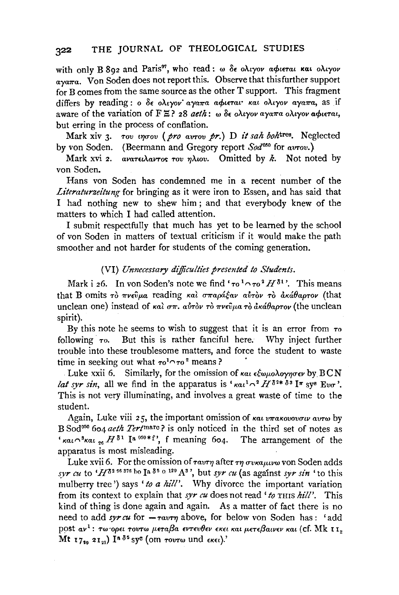with only B 802 and Paris<sup>97</sup>, who read:  $\omega$   $\delta \epsilon$  o $\lambda_i$ yov a $\phi$ ierai Kai o $\lambda_i$ yov  $a\sqrt{v}$  V on Soden does not report this. Observe that this further support for B comes from the same source as the other T support. This fragment differs by reading: o 8t: o>..tyov" aya1ra a4>tt:Tat• Kat o>..tyov aya1ra, as if aware of the variation of  $F \ncong ?$  28 *aeth*: w  $\delta \epsilon$  o $\lambda$ *tyov* aya $\pi a$  o $\lambda$ *tyov* a $\phi$ *terat*, but erring in the process of conflation.

Mark xiv 3. Tov *ingov* (*pro avrov pr.*) D *it sah boh*<sup>tres</sup>. Neglected by von Soden. (Beermann and Gregory report *Sod050* for awov.)

Mark xvi 2. avar $\epsilon \lambda$ avros rov ηλιου. Omitted by k. Not noted by von Soden.

Hans von Soden has condemned me in a recent number of the *Literaturzeitung* for bringing as it were iron to Essen, and has said that I had nothing new to shew him ; and that everybody knew of the matters to which I had called attention.

I submit respectfully that much has yet to be learned by the school of von Soden in matters of textual criticism if it would make the path smoother and not harder for students of the coming generation.

## (VI) *Unnecessary dijficu!ties presented to Students.*

Mark i 26. In von Soden's note we find  $\tau_0$ <sup>1</sup> $\cap$   $\tau_0$ <sup>2</sup> $H$ <sup>81</sup>'. This means that B omits  $\tau$   $\gamma$   $\tau$ ve $\hat{v}$ μa reading και σπαράξαν αυτόν το ακάθαρτον (that unclean one) instead of  $\kappa a\hat{i} \sigma \pi$ .  $a\hat{i} \tau \hat{j} \nu \tau \hat{k}$   $\tau \nu \hat{\epsilon} \hat{j} \mu a \tau \hat{j} \tau \hat{k}$  and  $\kappa \hat{i} \theta a \rho \tau \nu \hat{k}$  (the unclean spirit).

By this note he seems to wish to suggest that it is an error from  $\tau_0$ following  $\tau$ <sup>o</sup>. But this is rather fanciful here. Why inject further trouble into these troublesome matters, and force the student to waste time in seeking out what  $\tau_0$ <sup>1</sup> $\cap$   $\tau_0$ <sup>2</sup> means?

Luke xxii 6. Similarly, for the omission of  $\kappa a \iota \epsilon \xi \omega \mu o \lambda o \gamma \eta \sigma \epsilon \nu$  by  $\text{BCN}$ at syr sin, all we find in the apparatus is ' $\kappa a t^{1} \gamma^{2} H^{\delta^{2*} \delta^{3}}$  I<sup>n</sup> sy<sup>8</sup> Eva<sup>3</sup>. This is not very illuminating, and involves a great waste of time to the student.

Again, Luke viii 25, the important omission of  $\kappa a_1 v \pi a \kappa o_0 v \sigma_1 v$  avro by B Sod050 604 *aeth* Tertmarc? is only noticed in the third set of notes as  $\kappa a_i \sim$ <sup>3</sup> $\kappa a_i$ ,  $H^{\delta_1}$  <sup>[a 050\*f', f meaning 604. The arrangement of the</sup> apparatus is most misleading.

Luke xvii 6. For the omission of  $\tau_{\alpha\nu\tau\eta}$  after  $\tau\eta$   $\sigma$ v $\kappa\alpha\mu\iota\nu\omega$  von Soden adds  $_{syr}$  *cu* to  $^4H^{\delta^2}$ <sup>56 376</sup> ho Ia  $^{\delta^5}$  <sup>o 129</sup> A<sup>3</sup>, but *syr cu* (as against *syr sin*  $^4$  to this mulberry tree') says 'to a hill'. Why divorce the important variation from its context to explain that *syr cu* does not read ' to THIS hill'. This kind of thing is done again and again. As a matter of fact there is no need to add syrcu for  $-\tau a v \tau \eta$  above, for below von Soden has: 'add post αν<sup>1</sup>: τω ορει τουτω μεταβα εντευθεν εκει και μετεβαινεν και (cf. Mk II<sub>2</sub> Mt 1720 2121) In  $\delta^5$  syc (om rovrw und ekel).'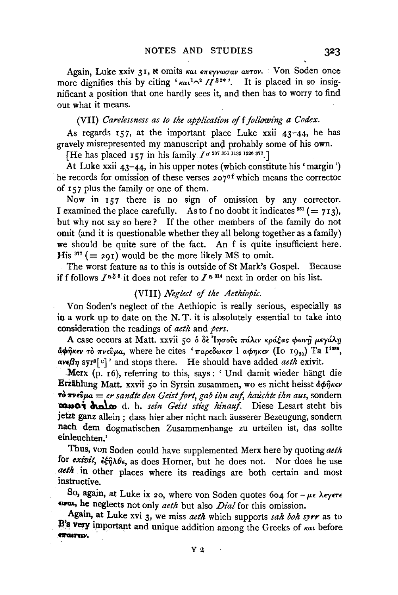Again, Luke xxiv 31, & omits *Kat επεγνωσαν αυτον*. *• Von Soden once* more dignifies this by citing ' $\kappa a t^{1} \gamma^2 H^{\delta^{2}*}$ '. It is placed in so insignificant a position that one hardly sees it, and then has to worry to find out what it means.

(VII) *Carelessness as to the application of f following a Codex.* 

As regards  $157$ , at the important place Luke xxii  $43-44$ , he has gravely misrepresented my manuscript and probably some of his own.

[He has placed  $157$  in his family  $I^{\sigma 207}$  351 1182 1226 877.]

At Luke xxii 43-44, in his upper notes (which constitute his 'margin') he records for omission of these verses 207<sup>cf</sup> which means the corrector of  $157$  plus the family or one of them.

Now in 157 there is no sign of omission by any corrector. I examined the place carefully. As to f no doubt it indicates  $351 (= 713)$ , but why not say so here? If the other members of the family do not omit (and it is questionable whether they all belong together as a family) we should be quite sure of the fact. An f is quite insufficient here. His  $377 (= 291)$  would be the more likely MS to omit.

The worst feature as to this is outside of St Mark's Gospel. Because if f follows  $I^{a\delta}$  it does not refer to  $I^{a\delta}$  next in order on his list.

### (VIII) *Neglect of the Aethiopic*.

Von Soden's neglect of the Aethiopic is really serious, especially as in a work up to date on the N. T. it is absolutely essential to take into consideration the readings of *aeth* and *pers.* 

A case occurs at Matt. xxvii 50 δ δε Iησούς πάλιν κράξας φωνή μεγάλη  $\phi$  $\phi$  $\hat{\eta}$ *KEV*  $\tau$  $\dot{\phi}$   $\pi$ *v* $\epsilon \hat{\nu}$  $\mu a$ , where he cites ' $\pi a \rho \epsilon \delta \omega$ *KEV* 1  $a \phi \eta$ *KEV* (Io 19<sub>80</sub>) Ta I<sup>1386</sup>,  $a\nu\epsilon\beta\eta$  syr<sup>s[c]</sup>' and stops there. He should have added *aeth* exivit.

. Merx (p. r6), referring to this, says: 'Und damit wieder hangt die Erzählung Matt. xxvii 50 in Syrsin zusammen, wo es nicht heisst άφηκεν  $\vec{r}$   $\vec{v}$   $\vec{v}$   $\vec{v}$   $\vec{v}$  *er sandte den Geist fort, gab ihn auf, hauchte ihn aus, sondern* ~a; ~ d. h. *sez"n Geist stieg hinauj.* Diese Lesart steht bis jetzt ganz allein ; dass bier aber nicht nach ausserer Bezeugung, sondern nach dem dogmatischen Zusammenhange zu urteilen ist, das sollte einleuchten.'

Thus, von Soden could have supplemented Merx here by quoting *aeth*  for *exivit*,  $\frac{2}{3}$  $\frac{2}{3}$  $\theta$ <sub>6</sub>, as does Horner, but he does not. Nor does he use aeth in other places where its readings are both certain and most instructive.

So, again, at Luke ix 20, where von Soden quotes 604 for  $-\mu\epsilon$   $\lambda\epsilon$ y $\epsilon\tau\epsilon$ twat, he neglects not only *aeth* but also *Dial* for this omission.

Again, at Luke xvi 3, we miss *aeth* which supports *sah boh syrr* as to B's very important and unique addition among the Greeks of *Kat* before **ft'G&Tcw.**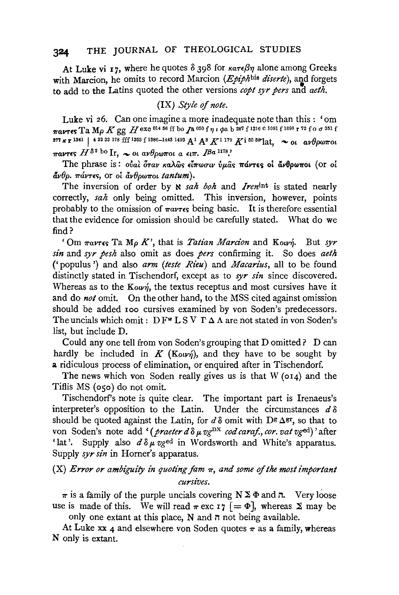At Luke vi 17, where he quotes  $\delta$  398 for  $\kappa a \tau \epsilon \beta \eta$  alone among Greeks with Marcion, he omits to record Marcion ( $Epiph$ bis diserte), and forgets to add to the Latins quoted the other versions copt syr pers and aeth.

## (IX) Style of note.

Luke vi 26. Can one imagine a more inadequate note than this: 'om TaVIES Ta Mo K gg H exc 014 56 ff bo Ja 050 f  $\eta$  i  $\phi$ a b 287 f 1216 c 1091 f 1098 r 72 f o  $\sigma$  351 f 377  $\kappa$  r 1341 | 4 22 33 178 fff 1353 f 1386-1448 1493  $A^1$   $A^3$   $K^{1}$  179  $K$  i 55 5<sup>9</sup> lat,  $\sim$  ot av θρωποι *TRAVIES*  $H^{\delta^2 \text{ bo}}$  Ir,  $\sim$  or avelopment a err. IBa<sup>1178</sup>.

The phrase is: ούαι όταν καλώς είπωσιν ύμας πάντες οι άνθρωποι (or oi  $\tilde{a}v\theta$ o.  $\pi\acute{\alpha}v\tau\epsilon s$ , or oi  $\tilde{a}v\theta$ ow $\pi$ ot tantum).

The inversion of order by x sah boh and Irenint is stated nearly correctly, sah only being omitted. This inversion, however, points probably to the omission of  $\pi a \nu \tau \epsilon s$  being basic. It is therefore essential that the evidence for omission should be carefully stated. What do we find  $\overline{?}$ 

'Om  $\pi a v \tau \epsilon$ s Ta M<sub>p</sub> K', that is *Tatian Marcion* and Kourn. But syr sin and syr pesh also omit as does pers confirming it. So does aeth ('populus') and also arm (teste Rieu) and Macarius, all to be found distinctly stated in Tischendorf, except as to  $syr \sin$  since discovered. Whereas as to the  $\mathbf{Kown}$ , the textus receptus and most cursives have it and do not omit. On the other hand, to the MSS cited against omission should be added 100 cursives examined by von Soden's predecessors. The uncials which omit:  $DF^{\mathbf{w}} L S V T \Delta \Lambda$  are not stated in von Soden's list, but include D.

Could any one tell from von Soden's grouping that D omitted? D can hardly be included in  $K$  (Kovn), and they have to be sought by a ridiculous process of elimination, or enquired after in Tischendorf.

The news which von Soden really gives us is that  $W$  (014) and the Tiflis MS (050) do not omit.

Tischendorf's note is quite clear. The important part is Irenaeus's interpreter's opposition to the Latin. Under the circumstances  $d\delta$ should be quoted against the Latin, for  $d\delta$  omit with D<sup>g</sup>  $\Delta$ <sup>gr</sup>, so that to von Soden's note add '(praeter  $d \delta \mu v g^{DX}$  cod caraf., cor. vat  $v g^{ed}$ )' after 'lat'. Supply also  $d \delta \mu$  vged in Wordsworth and White's apparatus. Supply  $syr \sin$  in Horner's apparatus.

# $(X)$  Error or ambiguity in quoting fam  $\pi$ , and some of the most important cursives.

 $\pi$  is a family of the purple uncials covering  $N \Sigma \Phi$  and  $\pi$ . Very loose use is made of this. We will read  $\pi$  exc 17  $[ = \Phi ]$ , whereas  $\Sigma$  may be only one extant at this place, N and  $\pi$  not being available.

At Luke xx 4 and elsewhere von Soden quotes  $\pi$  as a family, whereas N only is extant.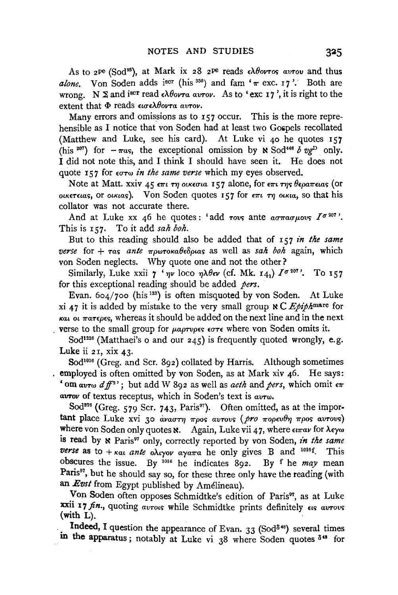As to 2<sup>pe</sup> (Sod<sup>93</sup>), at Mark ix 28 2<sup>pe</sup> reads ελθοντος αυτου and thus *alone.* Von Soden adds iscr (his  $350$ ) and fam ' $\pi$  exc. 17'. Both are wrong. N  $\Sigma$  and i<sup>scr</sup> read  $\epsilon \lambda \theta$ ovra avrov. As to 'exc 17', it is right to the extent that Φ reads *εισελθοντα αυτον*.

Many errors and omissions as to 157 occur. This is the more reprehensible as I notice that von Soden had at least two Gospels recollated (Matthew and Luke, see his card). At Luke vi 40 he quotes 157 (his <sup>207</sup>) for  $-\pi a$ , the exceptional omission by  $\aleph$  Sod<sup>448</sup> *b vg*<sup>D</sup> only. I did not note this, and I think I should have seen it. He does not quote 157 for  $\epsilon \sigma \tau \omega$  in the same verse which my eyes observed.

Note at Matt. xxiv 45 επι τη οικεσια 157 alone, for επι της θεραπειας (or  $\alpha$ KETELAS, OF OLKLAS). V ON Soden quotes 157 for  $\epsilon \pi i$  *TI*  $\alpha$ *NKA*, so that his collator was not accurate there.

And at Luke xx 46 he quotes: 'add rove ante  $a\sigma\pi a\sigma\mu ov s$   $I^{\sigma 207}$ '. This is 157. To it add *sah boh*.

But to this reading should also be added that of 157 *in the same verse* for + *τas ante πρωτοκαθεδριαs* as well as *sah boh* again, which von Soden neglects. Why quote one and not the other?

Similarly, Luke xxii  $\gamma$  ' $\eta v$  loco  $\eta \lambda \theta \epsilon \nu$  (cf. Mk. 141)  $I^{\sigma 207}$ . To 157 for this exceptional reading should be added *pers.* 

Evan.  $604/700$  (his <sup>133</sup>) is often misquoted by von Soden. At Luke xi 47 it is added by mistake to the very small group  $\aleph C$  *Epiph*marc for  $\kappa a_1$  *ot*  $\pi a_7 \epsilon \rho \epsilon s$ , whereas it should be added on the next line and in the next verse to the small group for *paprupes*  $\epsilon \sigma \tau \epsilon$  where von Soden omits it.

Sod<sup>1226</sup> (Matthaei's o and our  $245$ ) is frequently quoted wrongly, e.g. Luke ii  $21$ , xix  $43$ .

Sod<sup>1016</sup> (Greg. and Scr. 892) collated by Harris. Although sometimes employed is often omitted by von Soden, as at Mark xiv 46. He says: ' om avrw  $df^{2'}$ ; but add W 892 as well as *aeth* and *pers*, which omit  $\epsilon \pi$ *aVTov* of textus receptus, which in Soden's text is *avTw.* 

Sod<sup>376</sup> (Greg. 579 Scr. 743, Paris<sup>97</sup>). Often omitted, as at the important place Luke xvi 30 *αναστη προς αυτους (pro πορευθη προς αυτονς)* where von Soden only quotes **x**. Again, Luke vii 47, where  $\epsilon_{\text{trav}}$  for  $\lambda \epsilon \gamma \omega$ is read by  $\aleph$  Paris<sup>97</sup> only, correctly reported by von Soden, *in the same verse* as to  $+$ *Kat ante oAryov aya* $\pi$ a he only gives B and <sup>1016</sup>f. This obscures the issue. By 1016 he indicates 892. By f he *may* mean Paris<sup>97</sup>, but he should say so, for these three only have the reading (with an *Evst* from Egypt published by Amelineau).

Von Soden often opposes Schmidtke's edition of Paris<sup>97</sup>, as at Luke xxii 17 fin., quoting *avrous* while Schmidtke prints definitely  $\epsilon$ us *avrous* (with L).

Indeed, I question the appearance of Evan. 33 (Sod<sup>848</sup>) several times in the apparatus; notably at Luke vi  $38$  where Soden quotes  $8^{48}$  for